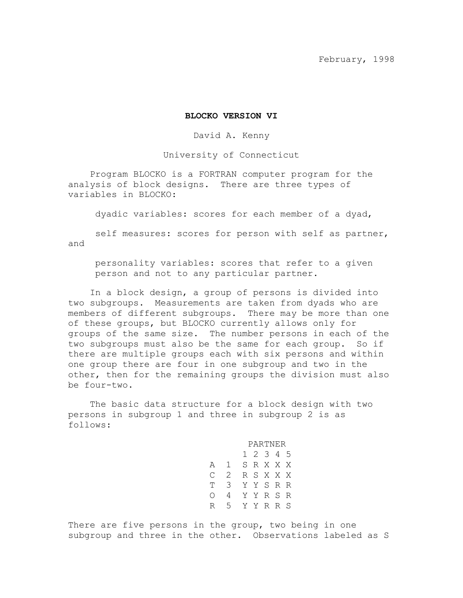#### **BLOCKO VERSION VI**

David A. Kenny

University of Connecticut

Program BLOCKO is a FORTRAN computer program for the analysis of block designs. There are three types of variables in BLOCKO:

dyadic variables: scores for each member of a dyad,

self measures: scores for person with self as partner, and

 personality variables: scores that refer to a given person and not to any particular partner.

In a block design, a group of persons is divided into two subgroups. Measurements are taken from dyads who are members of different subgroups. There may be more than one of these groups, but BLOCKO currently allows only for groups of the same size. The number persons in each of the two subgroups must also be the same for each group. So if there are multiple groups each with six persons and within one group there are four in one subgroup and two in the other, then for the remaining groups the division must also be four-two.

The basic data structure for a block design with two persons in subgroup 1 and three in subgroup 2 is as follows:

> PARTNER 1 2 3 4 5 A 1 S R X X X C 2 R S X X X T 3 Y Y S R R O 4 Y Y R S R R 5 Y Y R R S

There are five persons in the group, two being in one subgroup and three in the other. Observations labeled as S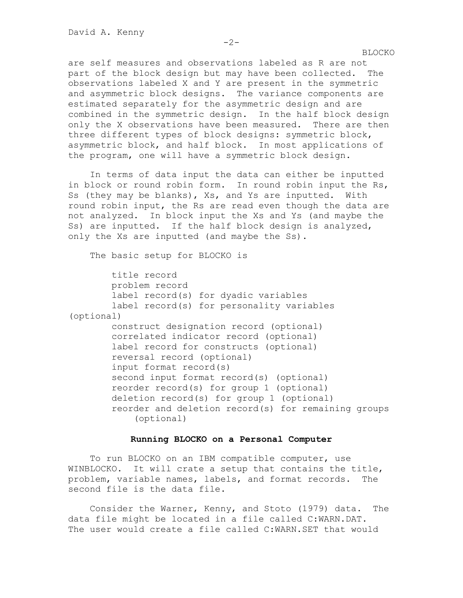are self measures and observations labeled as R are not part of the block design but may have been collected. The observations labeled X and Y are present in the symmetric and asymmetric block designs. The variance components are estimated separately for the asymmetric design and are combined in the symmetric design. In the half block design only the X observations have been measured. There are then three different types of block designs: symmetric block, asymmetric block, and half block. In most applications of the program, one will have a symmetric block design.

In terms of data input the data can either be inputted in block or round robin form. In round robin input the Rs, Ss (they may be blanks), Xs, and Ys are inputted. With round robin input, the Rs are read even though the data are not analyzed. In block input the Xs and Ys (and maybe the Ss) are inputted. If the half block design is analyzed, only the Xs are inputted (and maybe the Ss).

The basic setup for BLOCKO is

 title record problem record label record(s) for dyadic variables label record(s) for personality variables (optional) construct designation record (optional) correlated indicator record (optional) label record for constructs (optional) reversal record (optional) input format record(s) second input format record(s) (optional) reorder record(s) for group 1 (optional) deletion record(s) for group 1 (optional) reorder and deletion record(s) for remaining groups (optional)

## **Running BLOCKO on a Personal Computer**

To run BLOCKO on an IBM compatible computer, use WINBLOCKO. It will crate a setup that contains the title, problem, variable names, labels, and format records. The second file is the data file.

Consider the Warner, Kenny, and Stoto (1979) data. The data file might be located in a file called C:WARN.DAT. The user would create a file called C:WARN.SET that would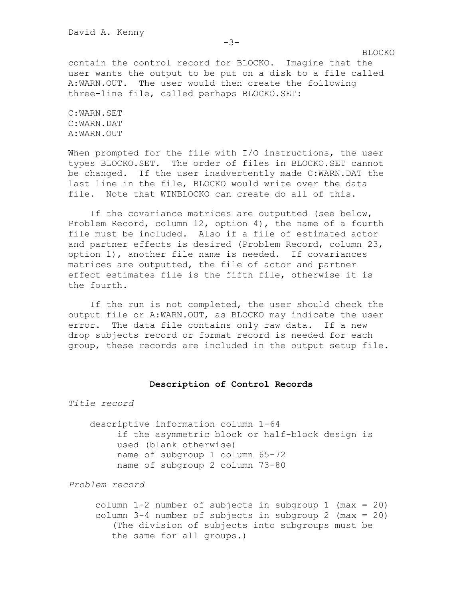contain the control record for BLOCKO. Imagine that the user wants the output to be put on a disk to a file called A:WARN.OUT. The user would then create the following three-line file, called perhaps BLOCKO.SET:

C:WARN.SET C:WARN.DAT A:WARN.OUT

When prompted for the file with I/O instructions, the user types BLOCKO.SET. The order of files in BLOCKO.SET cannot be changed. If the user inadvertently made C:WARN.DAT the last line in the file, BLOCKO would write over the data file. Note that WINBLOCKO can create do all of this.

If the covariance matrices are outputted (see below, Problem Record, column 12, option 4), the name of a fourth file must be included. Also if a file of estimated actor and partner effects is desired (Problem Record, column 23, option 1), another file name is needed. If covariances matrices are outputted, the file of actor and partner effect estimates file is the fifth file, otherwise it is the fourth.

If the run is not completed, the user should check the output file or A:WARN.OUT, as BLOCKO may indicate the user error. The data file contains only raw data. If a new drop subjects record or format record is needed for each group, these records are included in the output setup file.

#### **Description of Control Records**

*Title record*

descriptive information column 1-64 if the asymmetric block or half-block design is used (blank otherwise) name of subgroup 1 column 65-72 name of subgroup 2 column 73-80

*Problem record*

 column 1-2 number of subjects in subgroup 1 (max = 20) column  $3-4$  number of subjects in subgroup 2 (max = 20) (The division of subjects into subgroups must be the same for all groups.)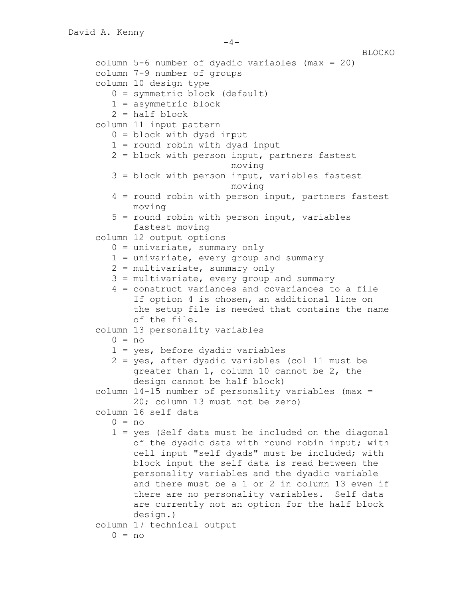```
BLOCKO
column 5-6 number of dyadic variables (max = 20)
column 7-9 number of groups
column 10 design type
   0 = symmetric block (default)
   1 = asymmetric block
  2 = half block column 11 input pattern
   0 = block with dyad input
   1 = round robin with dyad input
   2 = block with person input, partners fastest 
                        moving
   3 = block with person input, variables fastest 
                        moving
   4 = round robin with person input, partners fastest 
      moving
   5 = round robin with person input, variables 
      fastest moving
column 12 output options
  0 = univariate, summary only
   1 = univariate, every group and summary
   2 = multivariate, summary only
   3 = multivariate, every group and summary
   4 = construct variances and covariances to a file
       If option 4 is chosen, an additional line on 
      the setup file is needed that contains the name 
      of the file.
column 13 personality variables
  0 = no 1 = yes, before dyadic variables
   2 = yes, after dyadic variables (col 11 must be 
      greater than 1, column 10 cannot be 2, the 
      design cannot be half block)
column 14-15 number of personality variables (max = 
      20; column 13 must not be zero)
column 16 self data
  0 = no 1 = yes (Self data must be included on the diagonal 
      of the dyadic data with round robin input; with 
      cell input "self dyads" must be included; with 
      block input the self data is read between the 
      personality variables and the dyadic variable 
      and there must be a 1 or 2 in column 13 even if 
      there are no personality variables. Self data 
      are currently not an option for the half block 
      design.)
column 17 technical output
  0 = no
```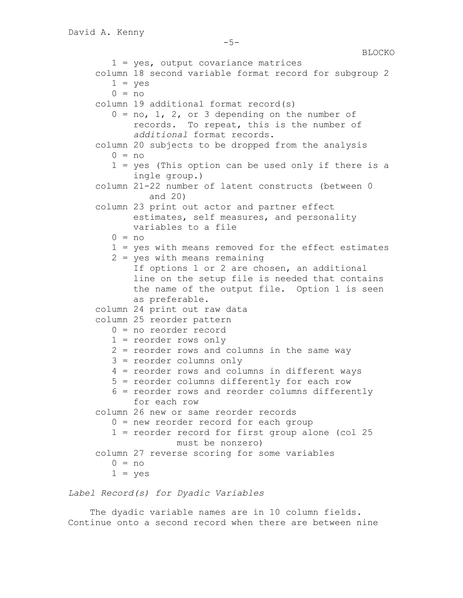```
1 = yes, output covariance matrices
column 18 second variable format record for subgroup 2
  1 = yes0 = no column 19 additional format record(s)
  0 = no, 1, 2, or 3 depending on the number ofrecords. To repeat, this is the number of 
      additional format records.
column 20 subjects to be dropped from the analysis
  0 = no 1 = yes (This option can be used only if there is a 
      ingle group.)
column 21-22 number of latent constructs (between 0 
         and 20)
column 23 print out actor and partner effect 
      estimates, self measures, and personality 
      variables to a file
  0 = no 1 = yes with means removed for the effect estimates
   2 = yes with means remaining
       If options 1 or 2 are chosen, an additional 
      line on the setup file is needed that contains 
      the name of the output file. Option 1 is seen 
      as preferable.
column 24 print out raw data
column 25 reorder pattern
   0 = no reorder record
   1 = reorder rows only
   2 = reorder rows and columns in the same way
   3 = reorder columns only
   4 = reorder rows and columns in different ways
   5 = reorder columns differently for each row
   6 = reorder rows and reorder columns differently 
      for each row
column 26 new or same reorder records
   0 = new reorder record for each group
   1 = reorder record for first group alone (col 25 
              must be nonzero)
column 27 reverse scoring for some variables
  0 = no1 = yes
```
*Label Record(s) for Dyadic Variables*

The dyadic variable names are in 10 column fields. Continue onto a second record when there are between nine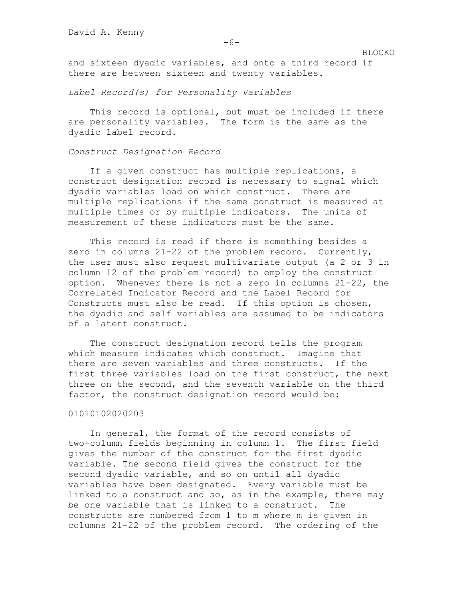and sixteen dyadic variables, and onto a third record if there are between sixteen and twenty variables.

*Label Record(s) for Personality Variables*

This record is optional, but must be included if there are personality variables. The form is the same as the dyadic label record.

#### *Construct Designation Record*

If a given construct has multiple replications, a construct designation record is necessary to signal which dyadic variables load on which construct. There are multiple replications if the same construct is measured at multiple times or by multiple indicators. The units of measurement of these indicators must be the same.

This record is read if there is something besides a zero in columns 21-22 of the problem record. Currently, the user must also request multivariate output (a 2 or 3 in column 12 of the problem record) to employ the construct option. Whenever there is not a zero in columns 21-22, the Correlated Indicator Record and the Label Record for Constructs must also be read. If this option is chosen, the dyadic and self variables are assumed to be indicators of a latent construct.

The construct designation record tells the program which measure indicates which construct. Imagine that there are seven variables and three constructs. If the first three variables load on the first construct, the next three on the second, and the seventh variable on the third factor, the construct designation record would be:

#### 01010102020203

In general, the format of the record consists of two-column fields beginning in column 1. The first field gives the number of the construct for the first dyadic variable. The second field gives the construct for the second dyadic variable, and so on until all dyadic variables have been designated. Every variable must be linked to a construct and so, as in the example, there may be one variable that is linked to a construct. The constructs are numbered from 1 to m where m is given in columns 21-22 of the problem record. The ordering of the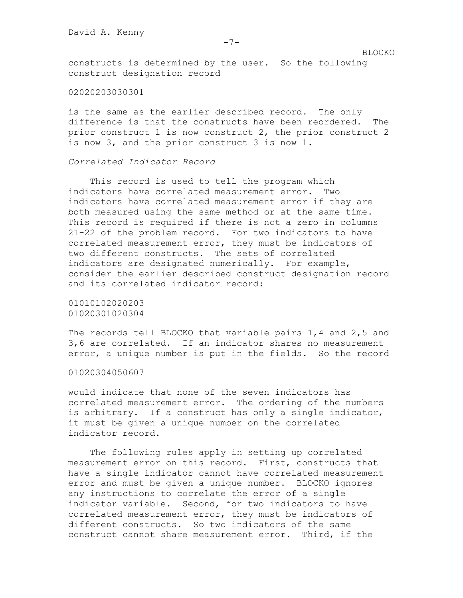constructs is determined by the user. So the following construct designation record

## 02020203030301

is the same as the earlier described record. The only difference is that the constructs have been reordered. The prior construct 1 is now construct 2, the prior construct 2 is now 3, and the prior construct 3 is now 1.

# *Correlated Indicator Record*

This record is used to tell the program which indicators have correlated measurement error. Two indicators have correlated measurement error if they are both measured using the same method or at the same time. This record is required if there is not a zero in columns 21-22 of the problem record. For two indicators to have correlated measurement error, they must be indicators of two different constructs. The sets of correlated indicators are designated numerically. For example, consider the earlier described construct designation record and its correlated indicator record:

01010102020203 01020301020304

The records tell BLOCKO that variable pairs 1,4 and 2,5 and 3,6 are correlated. If an indicator shares no measurement error, a unique number is put in the fields. So the record

01020304050607

would indicate that none of the seven indicators has correlated measurement error. The ordering of the numbers is arbitrary. If a construct has only a single indicator, it must be given a unique number on the correlated indicator record.

The following rules apply in setting up correlated measurement error on this record. First, constructs that have a single indicator cannot have correlated measurement error and must be given a unique number. BLOCKO ignores any instructions to correlate the error of a single indicator variable. Second, for two indicators to have correlated measurement error, they must be indicators of different constructs. So two indicators of the same construct cannot share measurement error. Third, if the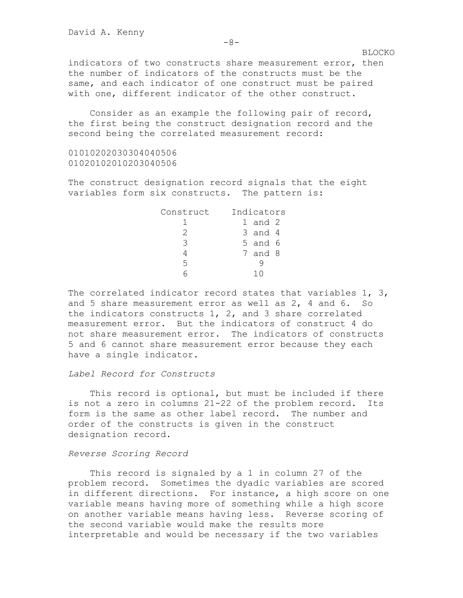indicators of two constructs share measurement error, then the number of indicators of the constructs must be the same, and each indicator of one construct must be paired with one, different indicator of the other construct.

Consider as an example the following pair of record, the first being the construct designation record and the second being the correlated measurement record:

01010202030304040506 01020102010203040506

The construct designation record signals that the eight variables form six constructs. The pattern is:

| Construct | Indicators |             |  |
|-----------|------------|-------------|--|
|           |            | $1$ and $2$ |  |
|           |            | 3 and 4     |  |
| ς         |            | 5 and 6     |  |
|           |            | 7 and 8     |  |
| 5         |            |             |  |
|           |            |             |  |

The correlated indicator record states that variables 1, 3, and 5 share measurement error as well as 2, 4 and 6. So the indicators constructs 1, 2, and 3 share correlated measurement error. But the indicators of construct 4 do not share measurement error. The indicators of constructs 5 and 6 cannot share measurement error because they each have a single indicator.

# *Label Record for Constructs*

This record is optional, but must be included if there is not a zero in columns 21-22 of the problem record. Its form is the same as other label record. The number and order of the constructs is given in the construct designation record.

#### *Reverse Scoring Record*

This record is signaled by a 1 in column 27 of the problem record. Sometimes the dyadic variables are scored in different directions. For instance, a high score on one variable means having more of something while a high score on another variable means having less. Reverse scoring of the second variable would make the results more interpretable and would be necessary if the two variables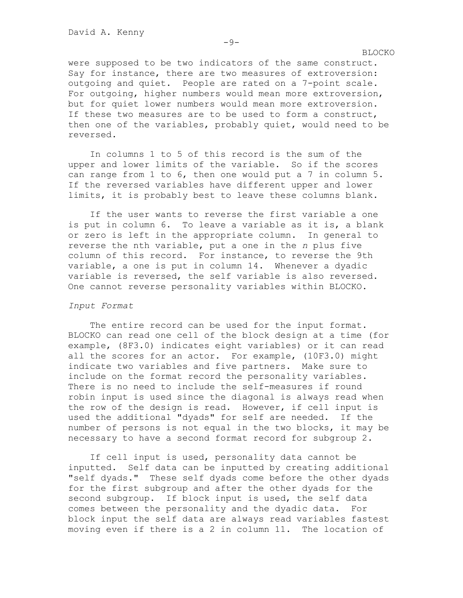were supposed to be two indicators of the same construct. Say for instance, there are two measures of extroversion: outgoing and quiet. People are rated on a 7-point scale. For outgoing, higher numbers would mean more extroversion, but for quiet lower numbers would mean more extroversion. If these two measures are to be used to form a construct, then one of the variables, probably quiet, would need to be reversed.

In columns 1 to 5 of this record is the sum of the upper and lower limits of the variable. So if the scores can range from 1 to 6, then one would put a 7 in column 5. If the reversed variables have different upper and lower limits, it is probably best to leave these columns blank.

If the user wants to reverse the first variable a one is put in column 6. To leave a variable as it is, a blank or zero is left in the appropriate column. In general to reverse the nth variable, put a one in the *n* plus five column of this record. For instance, to reverse the 9th variable, a one is put in column 14. Whenever a dyadic variable is reversed, the self variable is also reversed. One cannot reverse personality variables within BLOCKO.

## *Input Format*

The entire record can be used for the input format. BLOCKO can read one cell of the block design at a time (for example, (8F3.0) indicates eight variables) or it can read all the scores for an actor. For example, (10F3.0) might indicate two variables and five partners. Make sure to include on the format record the personality variables. There is no need to include the self-measures if round robin input is used since the diagonal is always read when the row of the design is read. However, if cell input is used the additional "dyads" for self are needed. If the number of persons is not equal in the two blocks, it may be necessary to have a second format record for subgroup 2.

If cell input is used, personality data cannot be inputted. Self data can be inputted by creating additional "self dyads." These self dyads come before the other dyads for the first subgroup and after the other dyads for the second subgroup. If block input is used, the self data comes between the personality and the dyadic data. For block input the self data are always read variables fastest moving even if there is a 2 in column 11. The location of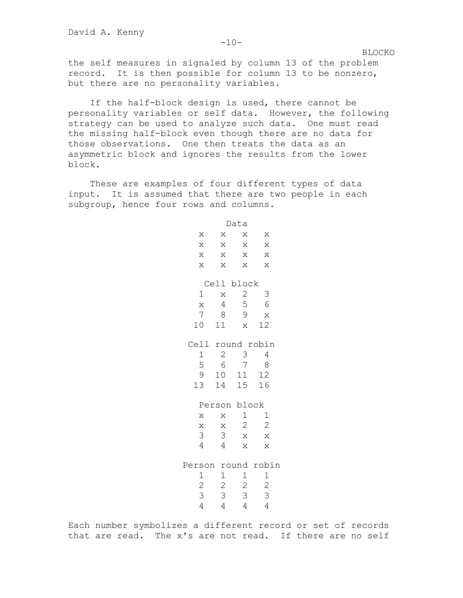the self measures in signaled by column 13 of the problem record. It is then possible for column 13 to be nonzero, but there are no personality variables.

If the half-block design is used, there cannot be personality variables or self data. However, the following strategy can be used to analyze such data. One must read the missing half-block even though there are no data for those observations. One then treats the data as an asymmetric block and ignores the results from the lower block.

These are examples of four different types of data input. It is assumed that there are two people in each subgroup, hence four rows and columns.

> Data  $X$   $X$   $X$   $X$  $X$   $X$   $X$   $X$ x x x x  $X$   $X$   $X$   $X$ Cell block 1 x 2 3 x 4 5 6 7 8 9 x 10 11 x 12 Cell round robin 1 2 3 4 5 6 7 8 9 10 11 12 13 14 15 16 Person block x x 1 1 x x 2 2 3 3 x x 4 4 x x Person round robin 1 1 1 1 2 2 2 2 3 3 3 3 4 4 4 4

Each number symbolizes a different record or set of records that are read. The x's are not read. If there are no self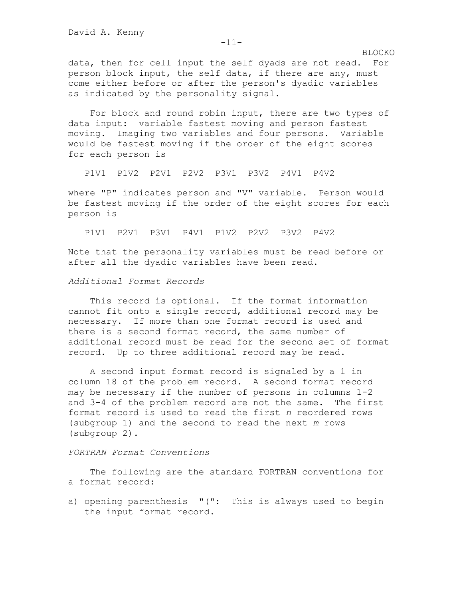data, then for cell input the self dyads are not read. For person block input, the self data, if there are any, must come either before or after the person's dyadic variables as indicated by the personality signal.

For block and round robin input, there are two types of data input: variable fastest moving and person fastest moving. Imaging two variables and four persons. Variable would be fastest moving if the order of the eight scores for each person is

P1V1 P1V2 P2V1 P2V2 P3V1 P3V2 P4V1 P4V2

where "P" indicates person and "V" variable. Person would be fastest moving if the order of the eight scores for each person is

P1V1 P2V1 P3V1 P4V1 P1V2 P2V2 P3V2 P4V2

Note that the personality variables must be read before or after all the dyadic variables have been read.

*Additional Format Records*

This record is optional. If the format information cannot fit onto a single record, additional record may be necessary. If more than one format record is used and there is a second format record, the same number of additional record must be read for the second set of format record. Up to three additional record may be read.

A second input format record is signaled by a 1 in column 18 of the problem record. A second format record may be necessary if the number of persons in columns 1-2 and 3-4 of the problem record are not the same. The first format record is used to read the first *n* reordered rows (subgroup 1) and the second to read the next *m* rows (subgroup 2).

# *FORTRAN Format Conventions*

The following are the standard FORTRAN conventions for a format record:

a) opening parenthesis "(": This is always used to begin the input format record.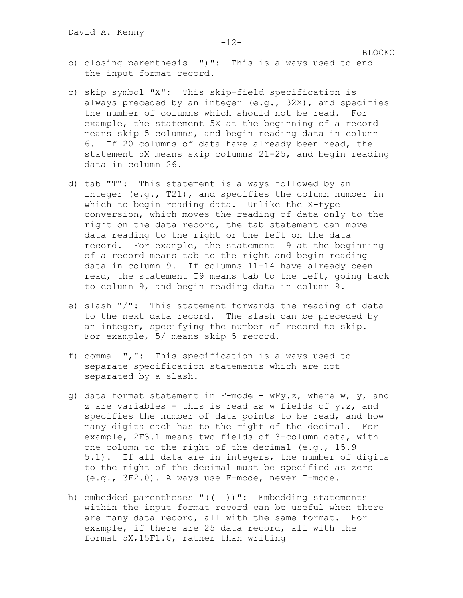- b) closing parenthesis ")": This is always used to end the input format record.
- c) skip symbol "X": This skip-field specification is always preceded by an integer (e.g., 32X), and specifies the number of columns which should not be read. For example, the statement 5X at the beginning of a record means skip 5 columns, and begin reading data in column 6. If 20 columns of data have already been read, the statement 5X means skip columns 21-25, and begin reading data in column 26.
- d) tab "T": This statement is always followed by an integer (e.g., T21), and specifies the column number in which to begin reading data. Unlike the X-type conversion, which moves the reading of data only to the right on the data record, the tab statement can move data reading to the right or the left on the data record. For example, the statement T9 at the beginning of a record means tab to the right and begin reading data in column 9. If columns 11-14 have already been read, the statement T9 means tab to the left, going back to column 9, and begin reading data in column 9.
- e) slash "/": This statement forwards the reading of data to the next data record. The slash can be preceded by an integer, specifying the number of record to skip. For example, 5/ means skip 5 record.
- f) comma ",": This specification is always used to separate specification statements which are not separated by a slash.
- $q$ ) data format statement in F-mode wFy.z, where w, y, and z are variables - this is read as w fields of y.z, and specifies the number of data points to be read, and how many digits each has to the right of the decimal. For example, 2F3.1 means two fields of 3-column data, with one column to the right of the decimal (e.g., 15.9 5.1). If all data are in integers, the number of digits to the right of the decimal must be specified as zero (e.g., 3F2.0). Always use F-mode, never I-mode.
- h) embedded parentheses "(( ))": Embedding statements within the input format record can be useful when there are many data record, all with the same format. For example, if there are 25 data record, all with the format 5X,15F1.0, rather than writing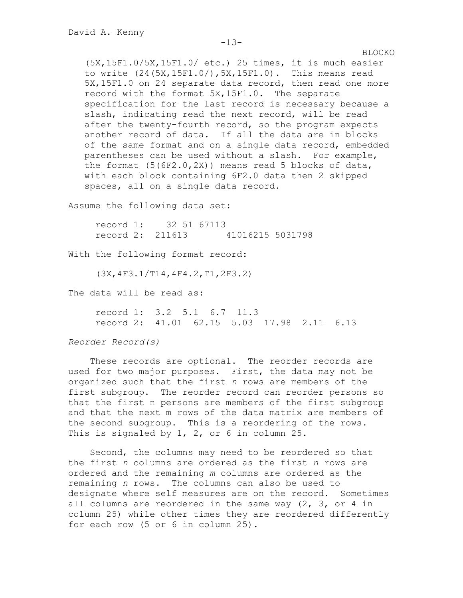BLOCKO (5X,15F1.0/5X,15F1.0/ etc.) 25 times, it is much easier to write (24(5X,15F1.0/),5X,15F1.0). This means read 5X,15F1.0 on 24 separate data record, then read one more record with the format 5X,15F1.0. The separate specification for the last record is necessary because a slash, indicating read the next record, will be read after the twenty-fourth record, so the program expects another record of data. If all the data are in blocks of the same format and on a single data record, embedded parentheses can be used without a slash. For example, the format  $(5(6F2.0, 2X))$  means read 5 blocks of data, with each block containing 6F2.0 data then 2 skipped spaces, all on a single data record.

Assume the following data set:

 record 1: 32 51 67113 record 2: 211613 41016215 5031798

With the following format record:

(3X,4F3.1/T14,4F4.2,T1,2F3.2)

The data will be read as:

 record 1: 3.2 5.1 6.7 11.3 record 2: 41.01 62.15 5.03 17.98 2.11 6.13

*Reorder Record(s)*

These records are optional. The reorder records are used for two major purposes. First, the data may not be organized such that the first *n* rows are members of the first subgroup. The reorder record can reorder persons so that the first n persons are members of the first subgroup and that the next m rows of the data matrix are members of the second subgroup. This is a reordering of the rows. This is signaled by 1, 2, or 6 in column 25.

Second, the columns may need to be reordered so that the first *n* columns are ordered as the first *n* rows are ordered and the remaining *m* columns are ordered as the remaining *n* rows. The columns can also be used to designate where self measures are on the record. Sometimes all columns are reordered in the same way (2, 3, or 4 in column 25) while other times they are reordered differently for each row (5 or 6 in column 25).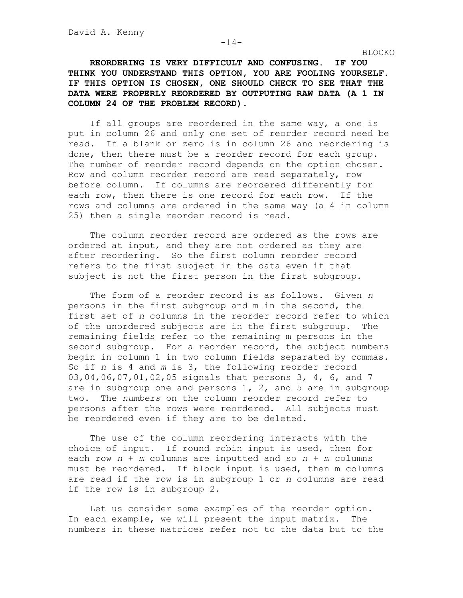**REORDERING IS VERY DIFFICULT AND CONFUSING. IF YOU THINK YOU UNDERSTAND THIS OPTION, YOU ARE FOOLING YOURSELF. IF THIS OPTION IS CHOSEN, ONE SHOULD CHECK TO SEE THAT THE DATA WERE PROPERLY REORDERED BY OUTPUTING RAW DATA (A 1 IN COLUMN 24 OF THE PROBLEM RECORD).**

If all groups are reordered in the same way, a one is put in column 26 and only one set of reorder record need be read. If a blank or zero is in column 26 and reordering is done, then there must be a reorder record for each group. The number of reorder record depends on the option chosen. Row and column reorder record are read separately, row before column. If columns are reordered differently for each row, then there is one record for each row. If the rows and columns are ordered in the same way (a 4 in column 25) then a single reorder record is read.

The column reorder record are ordered as the rows are ordered at input, and they are not ordered as they are after reordering. So the first column reorder record refers to the first subject in the data even if that subject is not the first person in the first subgroup.

The form of a reorder record is as follows. Given *n* persons in the first subgroup and m in the second, the first set of *n* columns in the reorder record refer to which of the unordered subjects are in the first subgroup. The remaining fields refer to the remaining m persons in the second subgroup. For a reorder record, the subject numbers begin in column 1 in two column fields separated by commas. So if *n* is 4 and *m* is 3, the following reorder record 03,04,06,07,01,02,05 signals that persons 3, 4, 6, and 7 are in subgroup one and persons  $1, 2,$  and  $5$  are in subgroup two. The *numbers* on the column reorder record refer to persons after the rows were reordered. All subjects must be reordered even if they are to be deleted.

The use of the column reordering interacts with the choice of input. If round robin input is used, then for each row *n* + *m* columns are inputted and so *n* + *m* columns must be reordered. If block input is used, then m columns are read if the row is in subgroup 1 or *n* columns are read if the row is in subgroup 2.

Let us consider some examples of the reorder option. In each example, we will present the input matrix. The numbers in these matrices refer not to the data but to the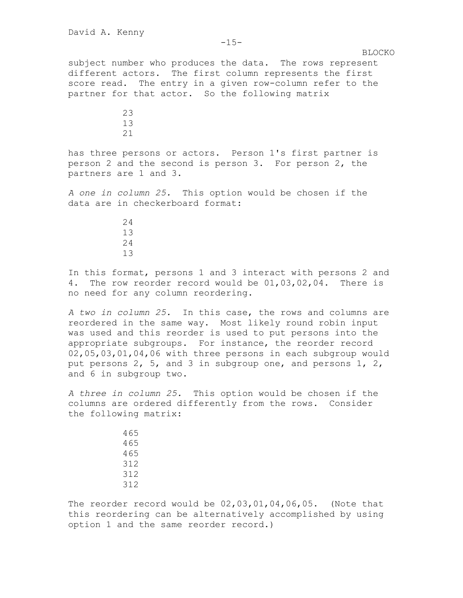subject number who produces the data. The rows represent different actors. The first column represents the first score read. The entry in a given row-column refer to the partner for that actor. So the following matrix

> 23 13 21

has three persons or actors. Person 1's first partner is person 2 and the second is person 3. For person 2, the partners are 1 and 3.

*A one in column 25.* This option would be chosen if the data are in checkerboard format:

In this format, persons 1 and 3 interact with persons 2 and 4. The row reorder record would be 01,03,02,04. There is no need for any column reordering.

*A two in column 25.* In this case, the rows and columns are reordered in the same way. Most likely round robin input was used and this reorder is used to put persons into the appropriate subgroups. For instance, the reorder record 02,05,03,01,04,06 with three persons in each subgroup would put persons 2, 5, and 3 in subgroup one, and persons 1, 2, and 6 in subgroup two.

*A three in column 25.* This option would be chosen if the columns are ordered differently from the rows. Consider the following matrix:

The reorder record would be 02,03,01,04,06,05. (Note that this reordering can be alternatively accomplished by using option 1 and the same reorder record.)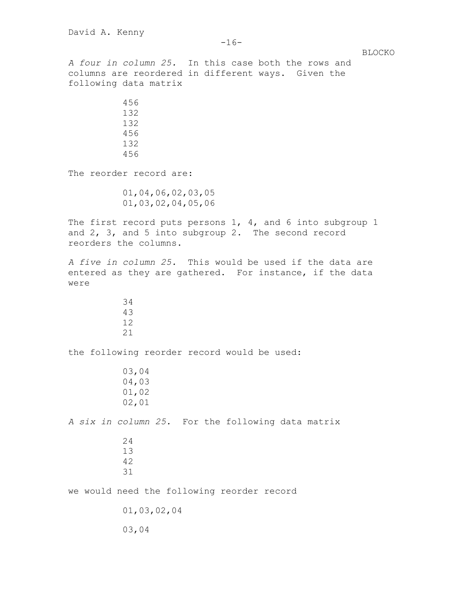*A four in column 25.* In this case both the rows and columns are reordered in different ways. Given the following data matrix 456 132 132 456

 132 456

The reorder record are:

 01,04,06,02,03,05 01,03,02,04,05,06

The first record puts persons 1, 4, and 6 into subgroup 1 and 2, 3, and 5 into subgroup 2. The second record reorders the columns.

*A five in column 25.* This would be used if the data are entered as they are gathered. For instance, if the data were

the following reorder record would be used:

 03,04 04,03 01,02 02,01

*A six in column 25.* For the following data matrix

we would need the following reorder record

01,03,02,04

03,04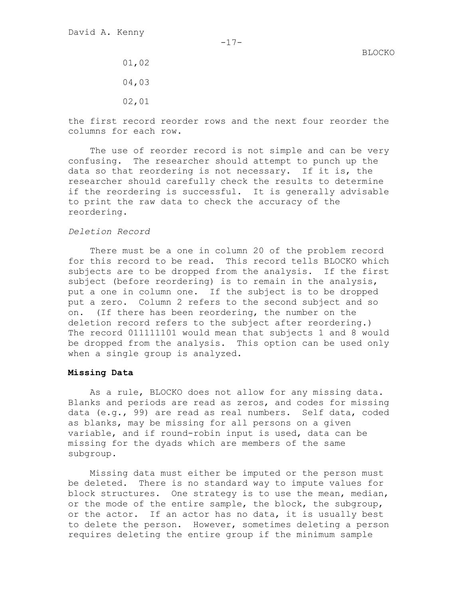- 01,02 04,03
- 02,01

the first record reorder rows and the next four reorder the columns for each row.

The use of reorder record is not simple and can be very confusing. The researcher should attempt to punch up the data so that reordering is not necessary. If it is, the researcher should carefully check the results to determine if the reordering is successful. It is generally advisable to print the raw data to check the accuracy of the reordering.

#### *Deletion Record*

There must be a one in column 20 of the problem record for this record to be read. This record tells BLOCKO which subjects are to be dropped from the analysis. If the first subject (before reordering) is to remain in the analysis, put a one in column one. If the subject is to be dropped put a zero. Column 2 refers to the second subject and so on. (If there has been reordering, the number on the deletion record refers to the subject after reordering.) The record 011111101 would mean that subjects 1 and 8 would be dropped from the analysis. This option can be used only when a single group is analyzed.

## **Missing Data**

As a rule, BLOCKO does not allow for any missing data. Blanks and periods are read as zeros, and codes for missing data (e.g., 99) are read as real numbers. Self data, coded as blanks, may be missing for all persons on a given variable, and if round-robin input is used, data can be missing for the dyads which are members of the same subgroup.

Missing data must either be imputed or the person must be deleted. There is no standard way to impute values for block structures. One strategy is to use the mean, median, or the mode of the entire sample, the block, the subgroup, or the actor. If an actor has no data, it is usually best to delete the person. However, sometimes deleting a person requires deleting the entire group if the minimum sample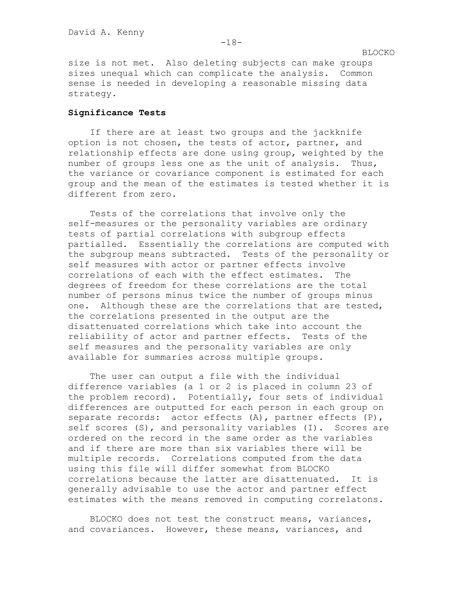size is not met. Also deleting subjects can make groups sizes unequal which can complicate the analysis. Common sense is needed in developing a reasonable missing data strategy.

## **Significance Tests**

If there are at least two groups and the jackknife option is not chosen, the tests of actor, partner, and relationship effects are done using group, weighted by the number of groups less one as the unit of analysis. Thus, the variance or covariance component is estimated for each group and the mean of the estimates is tested whether it is different from zero.

Tests of the correlations that involve only the self-measures or the personality variables are ordinary tests of partial correlations with subgroup effects partialled. Essentially the correlations are computed with the subgroup means subtracted. Tests of the personality or self measures with actor or partner effects involve correlations of each with the effect estimates. The degrees of freedom for these correlations are the total number of persons minus twice the number of groups minus one. Although these are the correlations that are tested, the correlations presented in the output are the disattenuated correlations which take into account the reliability of actor and partner effects. Tests of the self measures and the personality variables are only available for summaries across multiple groups.

The user can output a file with the individual difference variables (a 1 or 2 is placed in column 23 of the problem record). Potentially, four sets of individual differences are outputted for each person in each group on separate records: actor effects (A), partner effects (P), self scores (S), and personality variables (I). Scores are ordered on the record in the same order as the variables and if there are more than six variables there will be multiple records. Correlations computed from the data using this file will differ somewhat from BLOCKO correlations because the latter are disattenuated. It is generally advisable to use the actor and partner effect estimates with the means removed in computing correlatons.

BLOCKO does not test the construct means, variances, and covariances. However, these means, variances, and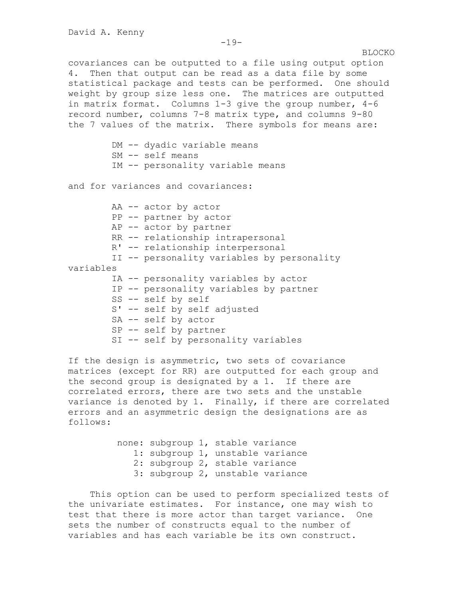covariances can be outputted to a file using output option 4. Then that output can be read as a data file by some statistical package and tests can be performed. One should weight by group size less one. The matrices are outputted in matrix format. Columns 1-3 give the group number, 4-6 record number, columns 7-8 matrix type, and columns 9-80 the 7 values of the matrix. There symbols for means are:

> DM -- dyadic variable means SM -- self means IM -- personality variable means

and for variances and covariances:

AA -- actor by actor PP -- partner by actor AP -- actor by partner RR -- relationship intrapersonal R' -- relationship interpersonal II -- personality variables by personality variables IA -- personality variables by actor IP -- personality variables by partner SS -- self by self S' -- self by self adjusted SA -- self by actor SP -- self by partner SI -- self by personality variables

If the design is asymmetric, two sets of covariance matrices (except for RR) are outputted for each group and the second group is designated by a 1. If there are correlated errors, there are two sets and the unstable variance is denoted by 1. Finally, if there are correlated errors and an asymmetric design the designations are as follows:

> none: subgroup 1, stable variance 1: subgroup 1, unstable variance 2: subgroup 2, stable variance 3: subgroup 2, unstable variance

This option can be used to perform specialized tests of the univariate estimates. For instance, one may wish to test that there is more actor than target variance. One sets the number of constructs equal to the number of variables and has each variable be its own construct.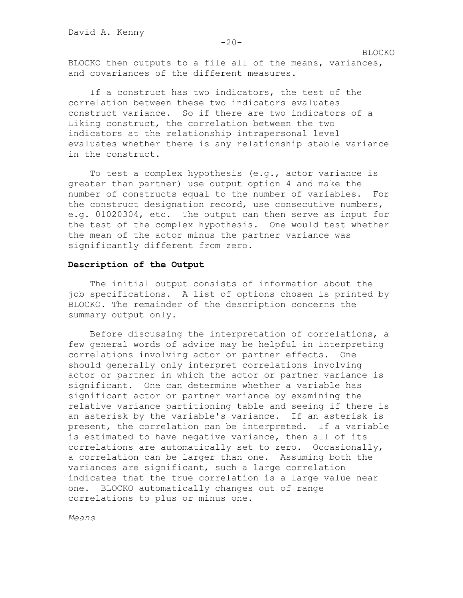BLOCKO then outputs to a file all of the means, variances, and covariances of the different measures.

If a construct has two indicators, the test of the correlation between these two indicators evaluates construct variance. So if there are two indicators of a Liking construct, the correlation between the two indicators at the relationship intrapersonal level evaluates whether there is any relationship stable variance in the construct.

To test a complex hypothesis (e.g., actor variance is greater than partner) use output option 4 and make the number of constructs equal to the number of variables. For the construct designation record, use consecutive numbers, e.g. 01020304, etc. The output can then serve as input for the test of the complex hypothesis. One would test whether the mean of the actor minus the partner variance was significantly different from zero.

#### **Description of the Output**

The initial output consists of information about the job specifications. A list of options chosen is printed by BLOCKO. The remainder of the description concerns the summary output only.

Before discussing the interpretation of correlations, a few general words of advice may be helpful in interpreting correlations involving actor or partner effects. One should generally only interpret correlations involving actor or partner in which the actor or partner variance is significant. One can determine whether a variable has significant actor or partner variance by examining the relative variance partitioning table and seeing if there is an asterisk by the variable's variance. If an asterisk is present, the correlation can be interpreted. If a variable is estimated to have negative variance, then all of its correlations are automatically set to zero. Occasionally, a correlation can be larger than one. Assuming both the variances are significant, such a large correlation indicates that the true correlation is a large value near one. BLOCKO automatically changes out of range correlations to plus or minus one.

*Means*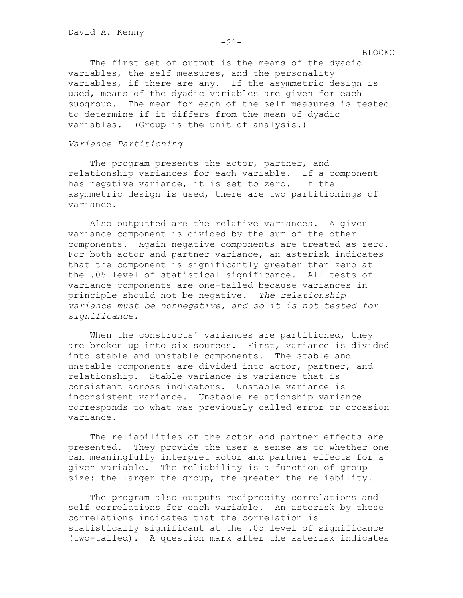The first set of output is the means of the dyadic variables, the self measures, and the personality variables, if there are any. If the asymmetric design is used, means of the dyadic variables are given for each subgroup. The mean for each of the self measures is tested to determine if it differs from the mean of dyadic variables. (Group is the unit of analysis.)

## *Variance Partitioning*

The program presents the actor, partner, and relationship variances for each variable. If a component has negative variance, it is set to zero. If the asymmetric design is used, there are two partitionings of variance.

Also outputted are the relative variances. A given variance component is divided by the sum of the other components. Again negative components are treated as zero. For both actor and partner variance, an asterisk indicates that the component is significantly greater than zero at the .05 level of statistical significance. All tests of variance components are one-tailed because variances in principle should not be negative. *The relationship variance must be nonnegative, and so it is not tested for significance.*

When the constructs' variances are partitioned, they are broken up into six sources. First, variance is divided into stable and unstable components. The stable and unstable components are divided into actor, partner, and relationship. Stable variance is variance that is consistent across indicators. Unstable variance is inconsistent variance. Unstable relationship variance corresponds to what was previously called error or occasion variance.

The reliabilities of the actor and partner effects are presented. They provide the user a sense as to whether one can meaningfully interpret actor and partner effects for a given variable. The reliability is a function of group size: the larger the group, the greater the reliability.

The program also outputs reciprocity correlations and self correlations for each variable. An asterisk by these correlations indicates that the correlation is statistically significant at the .05 level of significance (two-tailed). A question mark after the asterisk indicates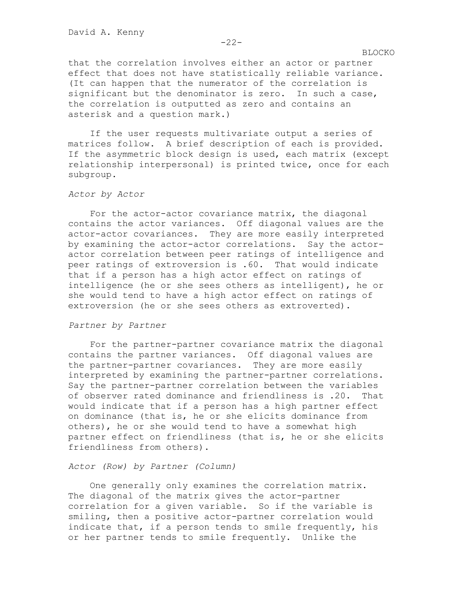that the correlation involves either an actor or partner effect that does not have statistically reliable variance. (It can happen that the numerator of the correlation is significant but the denominator is zero. In such a case, the correlation is outputted as zero and contains an asterisk and a question mark.)

If the user requests multivariate output a series of matrices follow. A brief description of each is provided. If the asymmetric block design is used, each matrix (except relationship interpersonal) is printed twice, once for each subgroup.

## *Actor by Actor*

For the actor-actor covariance matrix, the diagonal contains the actor variances. Off diagonal values are the actor-actor covariances. They are more easily interpreted by examining the actor-actor correlations. Say the actoractor correlation between peer ratings of intelligence and peer ratings of extroversion is .60. That would indicate that if a person has a high actor effect on ratings of intelligence (he or she sees others as intelligent), he or she would tend to have a high actor effect on ratings of extroversion (he or she sees others as extroverted).

### *Partner by Partner*

For the partner-partner covariance matrix the diagonal contains the partner variances. Off diagonal values are the partner-partner covariances. They are more easily interpreted by examining the partner-partner correlations. Say the partner-partner correlation between the variables of observer rated dominance and friendliness is .20. That would indicate that if a person has a high partner effect on dominance (that is, he or she elicits dominance from others), he or she would tend to have a somewhat high partner effect on friendliness (that is, he or she elicits friendliness from others).

#### *Actor (Row) by Partner (Column)*

One generally only examines the correlation matrix. The diagonal of the matrix gives the actor-partner correlation for a given variable. So if the variable is smiling, then a positive actor-partner correlation would indicate that, if a person tends to smile frequently, his or her partner tends to smile frequently. Unlike the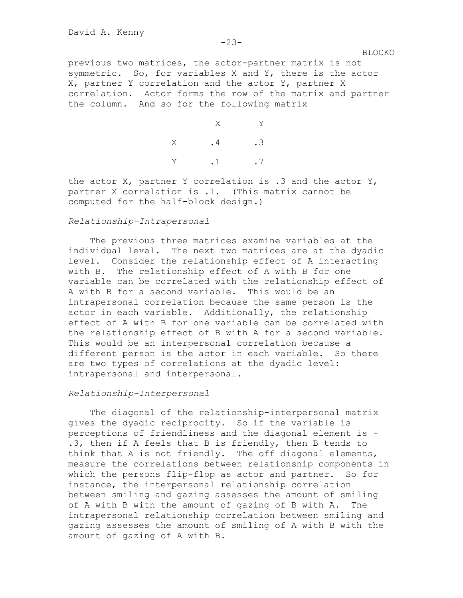previous two matrices, the actor-partner matrix is not symmetric. So, for variables X and Y, there is the actor X, partner Y correlation and the actor Y, partner X correlation. Actor forms the row of the matrix and partner the column. And so for the following matrix

 X Y X .4 .3 Y .1 .7

the actor  $X$ , partner Y correlation is .3 and the actor  $Y$ , partner X correlation is .1. (This matrix cannot be computed for the half-block design.)

# *Relationship-Intrapersonal*

The previous three matrices examine variables at the individual level. The next two matrices are at the dyadic level. Consider the relationship effect of A interacting with B. The relationship effect of A with B for one variable can be correlated with the relationship effect of A with B for a second variable. This would be an intrapersonal correlation because the same person is the actor in each variable. Additionally, the relationship effect of A with B for one variable can be correlated with the relationship effect of B with A for a second variable. This would be an interpersonal correlation because a different person is the actor in each variable. So there are two types of correlations at the dyadic level: intrapersonal and interpersonal.

## *Relationship-Interpersonal*

The diagonal of the relationship-interpersonal matrix gives the dyadic reciprocity. So if the variable is perceptions of friendliness and the diagonal element is - .3, then if A feels that B is friendly, then B tends to think that A is not friendly. The off diagonal elements, measure the correlations between relationship components in which the persons flip-flop as actor and partner. So for instance, the interpersonal relationship correlation between smiling and gazing assesses the amount of smiling of A with B with the amount of gazing of B with A. The intrapersonal relationship correlation between smiling and gazing assesses the amount of smiling of A with B with the amount of gazing of A with B.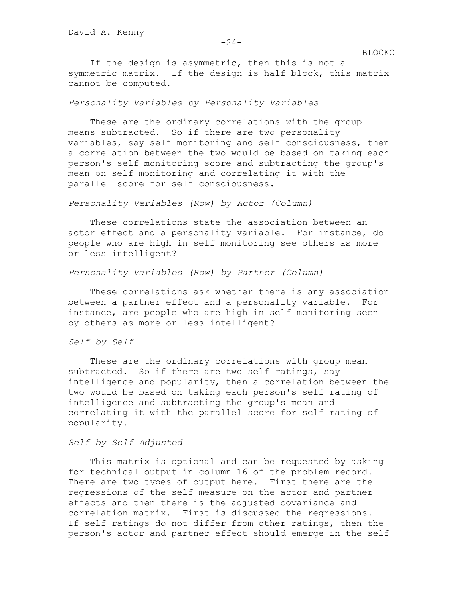If the design is asymmetric, then this is not a symmetric matrix. If the design is half block, this matrix cannot be computed.

# *Personality Variables by Personality Variables*

These are the ordinary correlations with the group means subtracted. So if there are two personality variables, say self monitoring and self consciousness, then a correlation between the two would be based on taking each person's self monitoring score and subtracting the group's mean on self monitoring and correlating it with the parallel score for self consciousness.

*Personality Variables (Row) by Actor (Column)*

These correlations state the association between an actor effect and a personality variable. For instance, do people who are high in self monitoring see others as more or less intelligent?

## *Personality Variables (Row) by Partner (Column)*

These correlations ask whether there is any association between a partner effect and a personality variable. For instance, are people who are high in self monitoring seen by others as more or less intelligent?

# *Self by Self*

These are the ordinary correlations with group mean subtracted. So if there are two self ratings, say intelligence and popularity, then a correlation between the two would be based on taking each person's self rating of intelligence and subtracting the group's mean and correlating it with the parallel score for self rating of popularity.

#### *Self by Self Adjusted*

This matrix is optional and can be requested by asking for technical output in column 16 of the problem record. There are two types of output here. First there are the regressions of the self measure on the actor and partner effects and then there is the adjusted covariance and correlation matrix. First is discussed the regressions. If self ratings do not differ from other ratings, then the person's actor and partner effect should emerge in the self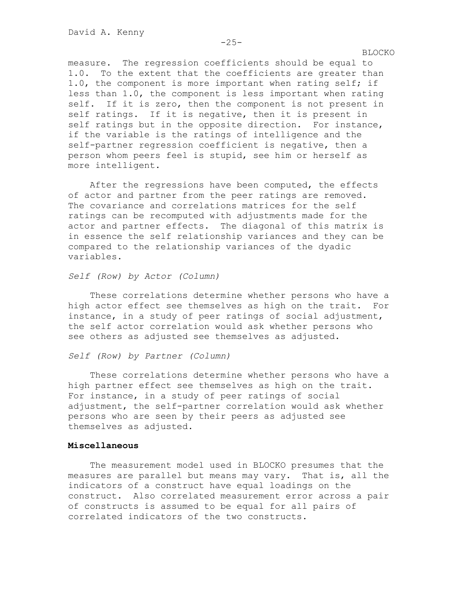measure. The regression coefficients should be equal to 1.0. To the extent that the coefficients are greater than 1.0, the component is more important when rating self; if less than 1.0, the component is less important when rating self. If it is zero, then the component is not present in self ratings. If it is negative, then it is present in self ratings but in the opposite direction. For instance, if the variable is the ratings of intelligence and the self-partner regression coefficient is negative, then a person whom peers feel is stupid, see him or herself as more intelligent.

After the regressions have been computed, the effects of actor and partner from the peer ratings are removed. The covariance and correlations matrices for the self ratings can be recomputed with adjustments made for the actor and partner effects. The diagonal of this matrix is in essence the self relationship variances and they can be compared to the relationship variances of the dyadic variables.

## *Self (Row) by Actor (Column)*

These correlations determine whether persons who have a high actor effect see themselves as high on the trait. For instance, in a study of peer ratings of social adjustment, the self actor correlation would ask whether persons who see others as adjusted see themselves as adjusted.

## *Self (Row) by Partner (Column)*

These correlations determine whether persons who have a high partner effect see themselves as high on the trait. For instance, in a study of peer ratings of social adjustment, the self-partner correlation would ask whether persons who are seen by their peers as adjusted see themselves as adjusted.

#### **Miscellaneous**

The measurement model used in BLOCKO presumes that the measures are parallel but means may vary. That is, all the indicators of a construct have equal loadings on the construct. Also correlated measurement error across a pair of constructs is assumed to be equal for all pairs of correlated indicators of the two constructs.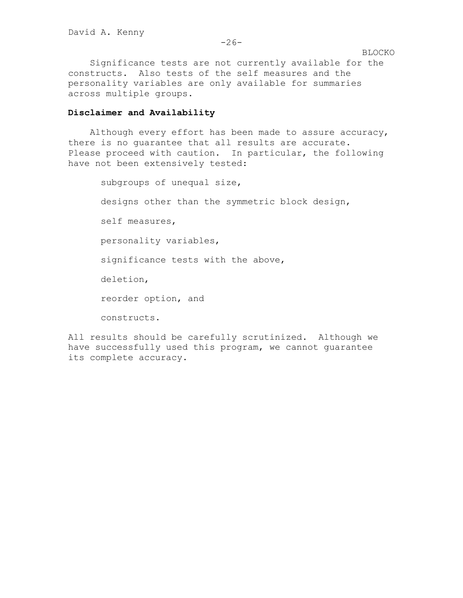Significance tests are not currently available for the constructs. Also tests of the self measures and the personality variables are only available for summaries across multiple groups.

# **Disclaimer and Availability**

Although every effort has been made to assure accuracy, there is no guarantee that all results are accurate. Please proceed with caution. In particular, the following have not been extensively tested:

> subgroups of unequal size, designs other than the symmetric block design, self measures, personality variables, significance tests with the above, deletion, reorder option, and constructs.

All results should be carefully scrutinized. Although we have successfully used this program, we cannot guarantee its complete accuracy.